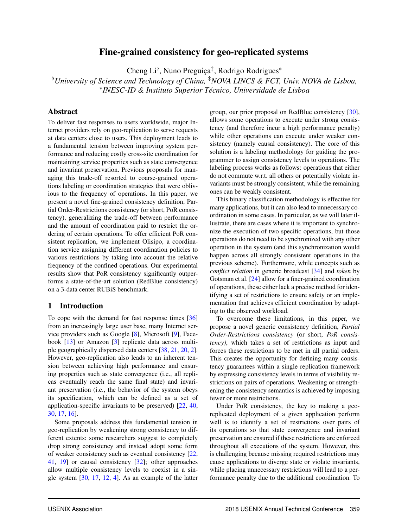# Fine-grained consistency for geo-replicated systems

Cheng Li<sup>b</sup>, Nuno Preguiça<sup>‡</sup>, Rodrigo Rodrigues<sup>\*</sup>

[ *University of Science and Technology of China,* ‡*NOVA LINCS & FCT, Univ. NOVA de Lisboa,* ⇤*INESC-ID & Instituto Superior Tecnico, Universidade de Lisboa ´*

### Abstract

To deliver fast responses to users worldwide, major Internet providers rely on geo-replication to serve requests at data centers close to users. This deployment leads to a fundamental tension between improving system performance and reducing costly cross-site coordination for maintaining service properties such as state convergence and invariant preservation. Previous proposals for managing this trade-off resorted to coarse-grained operations labeling or coordination strategies that were oblivious to the frequency of operations. In this paper, we present a novel fine-grained consistency definition, Partial Order-Restrictions consistency (or short, PoR consistency), generalizing the trade-off between performance and the amount of coordination paid to restrict the ordering of certain operations. To offer efficient PoR consistent replication, we implement Olisipo, a coordination service assigning different coordination policies to various restrictions by taking into account the relative frequency of the confined operations. Our experimental results show that PoR consistency significantly outperforms a state-of-the-art solution (RedBlue consistency) on a 3-data center RUBiS benchmark.

### 1 Introduction

To cope with the demand for fast response times [36] from an increasingly large user base, many Internet service providers such as Google [8], Microsoft [9], Facebook [13] or Amazon [3] replicate data across multiple geographically dispersed data centers [38, 21, 20, 2]. However, geo-replication also leads to an inherent tension between achieving high performance and ensuring properties such as state convergence (i.e., all replicas eventually reach the same final state) and invariant preservation (i.e., the behavior of the system obeys its specification, which can be defined as a set of application-specific invariants to be preserved) [22, 40, 30, 17, 16].

Some proposals address this fundamental tension in geo-replication by weakening strong consistency to different extents: some researchers suggest to completely drop strong consistency and instead adopt some form of weaker consistency such as eventual consistency [22, 41, 19] or causal consistency [32]; other approaches allow multiple consistency levels to coexist in a single system  $[30, 17, 12, 4]$ . As an example of the latter group, our prior proposal on RedBlue consistency [30], allows some operations to execute under strong consistency (and therefore incur a high performance penalty) while other operations can execute under weaker consistency (namely causal consistency). The core of this solution is a labeling methodology for guiding the programmer to assign consistency levels to operations. The labeling process works as follows: operations that either do not commute w.r.t. all others or potentially violate invariants must be strongly consistent, while the remaining ones can be weakly consistent.

This binary classification methodology is effective for many applications, but it can also lead to unnecessary coordination in some cases. In particular, as we will later illustrate, there are cases where it is important to synchronize the execution of two specific operations, but those operations do not need to be synchronized with any other operation in the system (and this synchronization would happen across all strongly consistent operations in the previous scheme). Furthermore, while concepts such as *conflict relation* in generic broadcast [34] and *token* by Gotsman et al. [24] allow for a finer-grained coordination of operations, these either lack a precise method for identifying a set of restrictions to ensure safety or an implementation that achieves efficient coordination by adapting to the observed workload.

To overcome these limitations, in this paper, we propose a novel generic consistency definition, *Partial Order-Restrictions consistency* (or short, *PoR consistency)*, which takes a set of restrictions as input and forces these restrictions to be met in all partial orders. This creates the opportunity for defining many consistency guarantees within a single replication framework by expressing consistency levels in terms of visibility restrictions on pairs of operations. Weakening or strengthening the consistency semantics is achieved by imposing fewer or more restrictions.

Under PoR consistency, the key to making a georeplicated deployment of a given application perform well is to identify a set of restrictions over pairs of its operations so that state convergence and invariant preservation are ensured if these restrictions are enforced throughout all executions of the system. However, this is challenging because missing required restrictions may cause applications to diverge state or violate invariants, while placing unnecessary restrictions will lead to a performance penalty due to the additional coordination. To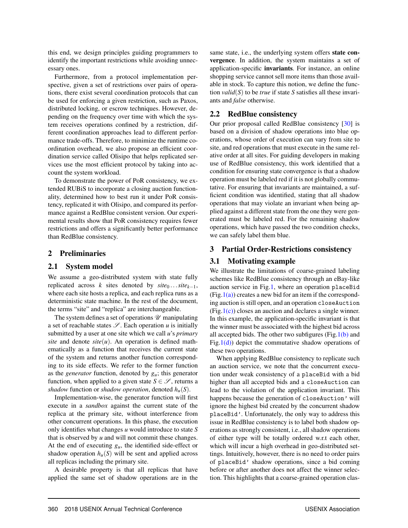this end, we design principles guiding programmers to identify the important restrictions while avoiding unnecessary ones.

Furthermore, from a protocol implementation perspective, given a set of restrictions over pairs of operations, there exist several coordination protocols that can be used for enforcing a given restriction, such as Paxos, distributed locking, or escrow techniques. However, depending on the frequency over time with which the system receives operations confined by a restriction, different coordination approaches lead to different performance trade-offs. Therefore, to minimize the runtime coordination overhead, we also propose an efficient coordination service called Olisipo that helps replicated services use the most efficient protocol by taking into account the system workload.

To demonstrate the power of PoR consistency, we extended RUBiS to incorporate a closing auction functionality, determined how to best run it under PoR consistency, replicated it with Olisipo, and compared its performance against a RedBlue consistent version. Our experimental results show that PoR consistency requires fewer restrictions and offers a significantly better performance than RedBlue consistency.

## 2 Preliminaries

### 2.1 System model

We assume a geo-distributed system with state fully replicated across *k* sites denoted by  $site_0 \dots site_{k-1}$ , where each site hosts a replica, and each replica runs as a deterministic state machine. In the rest of the document, the terms "site" and "replica" are interchangeable.

The system defines a set of operations *U* manipulating a set of reachable states  $\mathcal{S}$ . Each operation *u* is initially submitted by a user at one site which we call *u*'s *primary site* and denote  $site(u)$ . An operation is defined mathematically as a function that receives the current state of the system and returns another function corresponding to its side effects. We refer to the former function as the *generator* function, denoted by *gu*; this generator function, when applied to a given state  $S \in \mathcal{S}$ , returns a *shadow* function or *shadow operation*, denoted  $h_u(S)$ .

Implementation-wise, the generator function will first execute in a *sandbox* against the current state of the replica at the primary site, without interference from other concurrent operations. In this phase, the execution only identifies what changes *u* would introduce to state *S* that is observed by *u* and will not commit these changes. At the end of executing  $g_u$ , the identified side-effect or shadow operation  $h_u(S)$  will be sent and applied across all replicas including the primary site.

A desirable property is that all replicas that have applied the same set of shadow operations are in the same state, i.e., the underlying system offers **state con**vergence. In addition, the system maintains a set of application-specific invariants. For instance, an online shopping service cannot sell more items than those available in stock. To capture this notion, we define the function *valid*(*S*) to be *true* if state *S* satisfies all these invariants and *false* otherwise.

# 2.2 RedBlue consistency

Our prior proposal called RedBlue consistency [30] is based on a division of shadow operations into blue operations, whose order of execution can vary from site to site, and red operations that must execute in the same relative order at all sites. For guiding developers in making use of RedBlue consistency, this work identified that a condition for ensuring state convergence is that a shadow operation must be labeled red if it is not globally commutative. For ensuring that invariants are maintained, a sufficient condition was identified, stating that all shadow operations that may violate an invariant when being applied against a different state from the one they were generated must be labeled red. For the remaining shadow operations, which have passed the two condition checks, we can safely label them blue.

# 3 Partial Order-Restrictions consistency

## 3.1 Motivating example

We illustrate the limitations of coarse-grained labeling schemes like RedBlue consistency through an eBay-like auction service in Fig.1, where an operation placeBid  $(Fig.1(a))$  creates a new bid for an item if the corresponding auction is still open, and an operation closeAuction  $(Fig.1(c))$  closes an auction and declares a single winner. In this example, the application-specific invariant is that the winner must be associated with the highest bid across all accepted bids. The other two subfigures (Fig.1(b) and Fig.1(d)) depict the commutative shadow operations of these two operations.

When applying RedBlue consistency to replicate such an auction service, we note that the concurrent execution under weak consistency of a placeBid with a bid higher than all accepted bids and a closeAuction can lead to the violation of the application invariant. This happens because the generation of closeAuction' will ignore the highest bid created by the concurrent shadow placeBid'. Unfortunately, the only way to address this issue in RedBlue consistency is to label both shadow operations as strongly consistent, i.e., all shadow operations of either type will be totally ordered w.r.t each other, which will incur a high overhead in geo-distributed settings. Intuitively, however, there is no need to order pairs of placeBid' shadow operations, since a bid coming before or after another does not affect the winner selection. This highlights that a coarse-grained operation clas-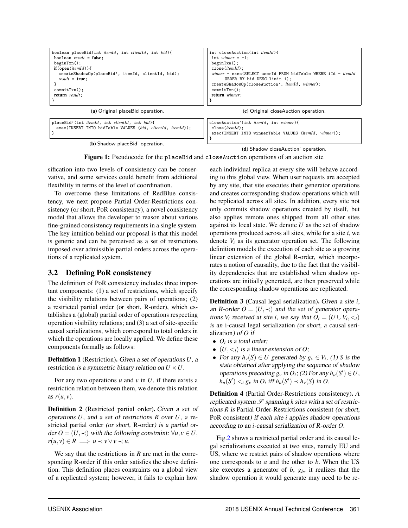

(b) Shadow placeBid' operation.

(d) Shadow closeAuction' operation.

Figure 1: Pseudocode for the placeBid and closeAuction operations of an auction site

sification into two levels of consistency can be conservative, and some services could benefit from additional flexibility in terms of the level of coordination.

To overcome these limitations of RedBlue consistency, we next propose Partial Order-Restrictions consistency (or short, PoR consistency), a novel consistency model that allows the developer to reason about various fine-grained consistency requirements in a single system. The key intuition behind our proposal is that this model is generic and can be perceived as a set of restrictions imposed over admissible partial orders across the operations of a replicated system.

# 3.2 Defining PoR consistency

The definition of PoR consistency includes three important components: (1) a set of restrictions, which specify the visibility relations between pairs of operations; (2) a restricted partial order (or short, R-order), which establishes a (global) partial order of operations respecting operation visibility relations; and (3) a set of site-specific causal serializations, which correspond to total orders in which the operations are locally applied. We define these components formally as follows:

Definition 1 (Restriction). *Given a set of operations U, a* restriction *is a symmetric binary relation on*  $U \times U$ *.* 

For any two operations  $u$  and  $v$  in  $U$ , if there exists a restriction relation between them, we denote this relation as  $r(u, v)$ .

Definition 2 (Restricted partial order). *Given a set of operations U, and a set of restrictions R over U, a* restricted partial order *(or short,* R-order*) is a partial order*  $O = (U, \prec)$  *with the following constraint:*  $\forall u, v \in U$ ,  $r(u, v) \in R \implies u \prec v \lor v \prec u.$ 

We say that the restrictions in *R* are met in the corresponding R-order if this order satisfies the above definition. This definition places constraints on a global view of a replicated system; however, it fails to explain how each individual replica at every site will behave according to this global view. When user requests are accepted by any site, that site executes their generator operations and creates corresponding shadow operations which will be replicated across all sites. In addition, every site not only commits shadow operations created by itself, but also applies remote ones shipped from all other sites against its local state. We denote *U* as the set of shadow operations produced across all sites, while for a site *i*, we denote  $V_i$  as its generator operation set. The following definition models the execution of each site as a growing linear extension of the global R-order, which incorporates a notion of causality, due to the fact that the visibility dependencies that are established when shadow operations are initially generated, are then preserved while the corresponding shadow operations are replicated.

Definition 3 (Causal legal serialization). *Given a site i,* an R-order  $O = (U, \prec)$  and the set of generator opera*tions*  $V_i$  *received at site i, we say that*  $O_i = (U \cup V_i, \langle i \rangle)$ *is an* i-causal legal serialization *(or short, a* causal serialization*) of O if*

- *• Oi is a total order;*
- $(U, \leq_i)$  *is a linear extension of O;*
- For any  $h_v(S) \in U$  generated by  $g_v \in V_i$ , (1) *S* is the *state obtained after applying the sequence of shadow operations preceding*  $g_v$  *in*  $O_i$ ; (2) For any  $h_u(S') \in U$ ,  $h_u(S') \lt_i g_v$  *in*  $O_i$  *iff*  $h_u(S') \lt h_v(S)$  *in*  $O$ *.*

Definition 4 (Partial Order-Restrictions consistency). *A replicated system*  $S$  *spanning*  $k$  *sites with a set of restrictions R is* Partial Order-Restrictions consistent *(or short,* PoR consistent*) if each site i applies shadow operations according to an i-causal serialization of R-order O.*

Fig.2 shows a restricted partial order and its causal legal serializations executed at two sites, namely EU and US, where we restrict pairs of shadow operations where one corresponds to *a* and the other to *b*. When the US site executes a generator of  $b$ ,  $g<sub>b</sub>$ , it realizes that the shadow operation it would generate may need to be re-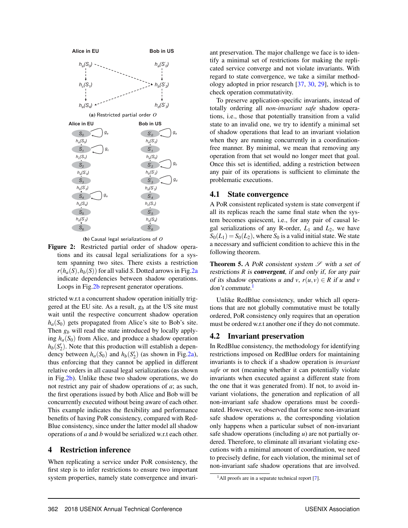

(b) Causal legal serializations of *O*

Figure 2: Restricted partial order of shadow operations and its causal legal serializations for a system spanning two sites. There exists a restriction  $r(h_a(S), h_b(S))$  for all valid *S*. Dotted arrows in Fig.2a indicate dependencies between shadow operations. Loops in Fig.2b represent generator operations.

stricted w.r.t a concurrent shadow operation initially triggered at the EU site. As a result, *gb* at the US site must wait until the respective concurrent shadow operation  $h_a(S_0)$  gets propagated from Alice's site to Bob's site. Then  $g_b$  will read the state introduced by locally applying  $h_a(S_0)$  from Alice, and produce a shadow operation  $h_b(S_2')$ . Note that this production will establish a dependency between  $h_a(S_0)$  and  $h_b(S_2')$  (as shown in Fig.2a), thus enforcing that they cannot be applied in different relative orders in all causal legal serializations (as shown in Fig.2b). Unlike these two shadow operations, we do not restrict any pair of shadow operations of *a*; as such, the first operations issued by both Alice and Bob will be concurrently executed without being aware of each other. This example indicates the flexibility and performance benefits of having PoR consistency, compared with Red-Blue consistency, since under the latter model all shadow operations of *a* and *b* would be serialized w.r.t each other.

### 4 Restriction inference

When replicating a service under PoR consistency, the first step is to infer restrictions to ensure two important system properties, namely state convergence and invariant preservation. The major challenge we face is to identify a minimal set of restrictions for making the replicated service converge and not violate invariants. With regard to state convergence, we take a similar methodology adopted in prior research [37, 30, 29], which is to check operation commutativity.

To preserve application-specific invariants, instead of totally ordering all *non-invariant safe* shadow operations, i.e., those that potentially transition from a valid state to an invalid one, we try to identify a minimal set of shadow operations that lead to an invariant violation when they are running concurrently in a coordinationfree manner. By minimal, we mean that removing any operation from that set would no longer meet that goal. Once this set is identified, adding a restriction between any pair of its operations is sufficient to eliminate the problematic executions.

#### 4.1 State convergence

A PoR consistent replicated system is state convergent if all its replicas reach the same final state when the system becomes quiescent, i.e., for any pair of causal legal serializations of any R-order,  $L_1$  and  $L_2$ , we have  $S_0(L_1) = S_0(L_2)$ , where  $S_0$  is a valid initial state. We state a necessary and sufficient condition to achieve this in the following theorem.

Theorem 5. *A PoR consistent system S with a set of restrictions R is convergent, if and only if, for any pair of its shadow operations u* and *v*,  $r(u, v) \in R$  *if u* and *v don't commute.*1

Unlike RedBlue consistency, under which all operations that are not globally commutative must be totally ordered, PoR consistency only requires that an operation must be ordered w.r.t another one if they do not commute.

### 4.2 Invariant preservation

In RedBlue consistency, the methodology for identifying restrictions imposed on RedBlue orders for maintaining invariants is to check if a shadow operation is *invariant safe* or not (meaning whether it can potentially violate invariants when executed against a different state from the one that it was generated from). If not, to avoid invariant violations, the generation and replication of all non-invariant safe shadow operations must be coordinated. However, we observed that for some non-invariant safe shadow operations  $u$ , the corresponding violation only happens when a particular subset of non-invariant safe shadow operations (including *u*) are not partially ordered. Therefore, to eliminate all invariant violating executions with a minimal amount of coordination, we need to precisely define, for each violation, the minimal set of non-invariant safe shadow operations that are involved.

 $<sup>1</sup>$ All proofs are in a separate technical report [7].</sup>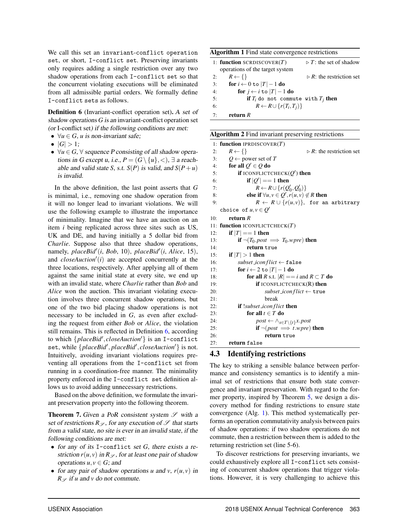We call this set an invariant-conflict operation set, or short, I-conflict set. Preserving invariants only requires adding a single restriction over any two shadow operations from each I-conflict set so that the concurrent violating executions will be eliminated from all admissible partial orders. We formally define I-conflict sets as follows.

Definition 6 (Invariant-conflict operation set). *A set of shadow operations G is an* invariant-conflict operation set *(or* I-conflict set*) if the following conditions are met:*

- $\forall u \in G$ , *u* is non-invariant safe;
- $|G| > 1$ ;
- $\forall u \in G, \forall$  sequence P consisting of all shadow opera*tions in G except u, i.e.,*  $P = (G \setminus \{u\}, \leq), \exists$  *a reachable and valid state S, s.t. S*(*P*) *is valid, and*  $S(P+u)$ *is invalid.*

In the above definition, the last point asserts that *G* is minimal, i.e., removing one shadow operation from it will no longer lead to invariant violations. We will use the following example to illustrate the importance of minimality. Imagine that we have an auction on an item *i* being replicated across three sites such as US, UK and DE, and having initially a 5 dollar bid from *Charlie*. Suppose also that three shadow operations, namely, *placeBid'*(*i*, *Bob*, 10), *placeBid'*(*i*, *Alice*, 15), and  $\text{closeAuction}'(i)$  are accepted concurrently at the three locations, respectively. After applying all of them against the same initial state at every site, we end up with an invalid state, where *Charlie* rather than *Bob* and *Alice* won the auction. This invariant violating execution involves three concurrent shadow operations, but one of the two bid placing shadow operations is not necessary to be included in *G*, as even after excluding the request from either *Bob* or *Alice*, the violation still remains. This is reflected in Definition 6, according to which  $\{placeBid', closeAction'\}$  is an I-conflict set, while {*placeBid'*, *placeBid'*, *closeAuction'*} is not. Intuitively, avoiding invariant violations requires preventing all operations from the I-conflict set from running in a coordination-free manner. The minimality property enforced in the I-conflict set definition allows us to avoid adding unnecessary restrictions.

Based on the above definition, we formulate the invariant preservation property into the following theorem.

Theorem 7. *Given a PoR consistent system S with a set of restrictions*  $R_{\mathscr{S}}$ , for any execution of  $\mathscr{S}$  that starts *from a valid state, no site is ever in an invalid state, if the following conditions are met:*

- *• for any of its* I-conflict *set G, there exists a restriction*  $r(u, v)$  *in*  $R_{\mathscr{S}}$ *, for at least one pair of shadow operations*  $u, v \in G$ *; and*
- *for any pair of shadow operations*  $u$  *and*  $v$ *,*  $r(u, v)$  *in*  $R \varphi$  *if u* and *v* do not commute.

| Algorithm 1 Find state convergence restrictions |                                       |  |  |
|-------------------------------------------------|---------------------------------------|--|--|
| 1: function SCRDISCOVER $(T)$                   | $\triangleright$ T: the set of shadow |  |  |
| operations of the target system                 |                                       |  |  |

|    | $\sigma$                                |                                         |
|----|-----------------------------------------|-----------------------------------------|
| 2: | $R \leftarrow \{\}$                     | $\triangleright$ R: the restriction set |
| 3: | for $i \leftarrow 0$ to $ T  - 1$ do    |                                         |
| 4: | for $i \leftarrow i$ to $ T -1$ do      |                                         |
| 5: | if $T_i$ do not commute with $T_i$ then |                                         |
| 6: | $R \leftarrow R \cup \{r(T_i,T_j)\}\$   |                                         |
| 7: | return $R$                              |                                         |

|  |  |  |  |  | Algorithm 2 Find invariant preserving restrictions |
|--|--|--|--|--|----------------------------------------------------|
|--|--|--|--|--|----------------------------------------------------|

|     | 1: function IPRDISCOVER $(T)$                                                                         |
|-----|-------------------------------------------------------------------------------------------------------|
| 2:  | $R \leftarrow \{\}$<br>$\triangleright$ R: the restriction set                                        |
| 3:  | Q $\leftarrow$ power set of T                                                                         |
| 4:  | for all $Q' \in Q$ do                                                                                 |
| 5:  | if ICONFLICTCHECK $(Q')$ then                                                                         |
| 6:  | if $ Q'  == 1$ then                                                                                   |
| 7:  | $R \leftarrow R \cup \{r(Q'_0, Q'_0)\}$                                                               |
| 8:  | else if $\forall u, v \in Q', r(u, v) \notin R$ then                                                  |
| 9:  | $R \leftarrow R \cup \{r(u,v)\}\text{, for an arbitrary }$                                            |
|     | choice of $u, v \in Q'$                                                                               |
| 10: | return $R$                                                                                            |
|     | 11: function ICONFLICTCHECK $(T)$                                                                     |
| 12: | if $ T  == 1$ then                                                                                    |
| 13: | if $\neg$ ( <i>T</i> <sub>0</sub> . <i>post</i> $\implies$ <i>T</i> <sub>0</sub> . <i>wpre</i> ) then |
| 14: | return true                                                                                           |
| 15: | if $ T  > 1$ then                                                                                     |
| 16: | subset_iconflict $\leftarrow$ false                                                                   |
| 17: | for $i \leftarrow 2$ to $ T -1$ do                                                                    |
| 18: | for all <i>R</i> s.t. $ R  == i$ and $R \subset T$ do                                                 |
| 19: | <b>if</b> ICONFLICTCHECK $(R)$ then                                                                   |
| 20: | $subset\_iconflict \leftarrow \texttt{true}$                                                          |
| 21: | break                                                                                                 |
| 22: | <b>if</b> !subset_iconflict <b>then</b>                                                               |
| 23: | for all $t \in T$ do                                                                                  |
| 24: | $post \leftarrow \wedge_{x \in T \setminus \{t\}} x.pop$                                              |
| 25: | <b>if</b> $\neg (post \implies t \cdot w pre)$ then                                                   |
| 26: | return true                                                                                           |
| 27: | return false                                                                                          |

# 4.3 Identifying restrictions

The key to striking a sensible balance between performance and consistency semantics is to identify a minimal set of restrictions that ensure both state convergence and invariant preservation. With regard to the former property, inspired by Theorem 5, we design a discovery method for finding restrictions to ensure state convergence (Alg. 1). This method systematically performs an operation commutativity analysis between pairs of shadow operations: if two shadow operations do not commute, then a restriction between them is added to the returning restriction set (line 5-6).

To discover restrictions for preserving invariants, we could exhaustively explore all I-conflict sets consisting of concurrent shadow operations that trigger violations. However, it is very challenging to achieve this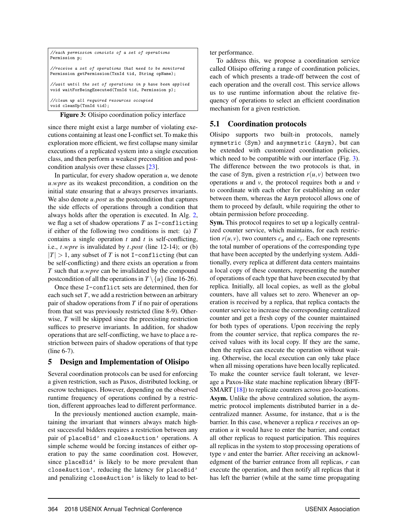| //each permission consists of a set of operations<br>Permission p;                                               |
|------------------------------------------------------------------------------------------------------------------|
| //receive a set of operations that need to be monitored<br>Permission getPermission(TxnId tid, String opName);   |
| //wait until the set of operations in p have been applied<br>void waitForBeingExecuted(TxnId tid, Permission p); |
| //clean up all required resources occupied<br>void cleanUp(TxnId tid);                                           |

Figure 3: Olisipo coordination policy interface

since there might exist a large number of violating executions containing at least one I-conflict set. To make this exploration more efficient, we first collapse many similar executions of a replicated system into a single execution class, and then perform a weakest precondition and postcondition analysis over these classes [23].

In particular, for every shadow operation  $u$ , we denote *u.wpre* as its weakest precondition, a condition on the initial state ensuring that *u* always preserves invariants. We also denote *u.post* as the postcondition that captures the side effects of operations through a condition that always holds after the operation is executed. In Alg. 2, we flag a set of shadow operations *T* as I-conflicting if either of the following two conditions is met: (a) *T* contains a single operation *t* and *t* is self-conflicting, i.e., *t.wpre* is invalidated by *t.post* (line 12-14); or (b)  $|T| > 1$ , any subset of *T* is not I-conflicting (but can be self-conflicting) and there exists an operation *u* from *T* such that *u.wpre* can be invalidated by the compound postcondition of all the operations in  $T \setminus \{u\}$  (line 16-26).

Once these I-conflict sets are determined, then for each such set *T*, we add a restriction between an arbitrary pair of shadow operations from *T* if no pair of operations from that set was previously restricted (line 8-9). Otherwise, *T* will be skipped since the preexisting restriction suffices to preserve invariants. In addition, for shadow operations that are self-conflicting, we have to place a restriction between pairs of shadow operations of that type (line 6-7).

# 5 Design and Implementation of Olisipo

Several coordination protocols can be used for enforcing a given restriction, such as Paxos, distributed locking, or escrow techniques. However, depending on the observed runtime frequency of operations confined by a restriction, different approaches lead to different performance.

In the previously mentioned auction example, maintaining the invariant that winners always match highest successful bidders requires a restriction between any pair of placeBid' and closeAuction' operations. A simple scheme would be forcing instances of either operation to pay the same coordination cost. However, since placeBid' is likely to be more prevalent than closeAuction', reducing the latency for placeBid' and penalizing closeAuction' is likely to lead to better performance.

To address this, we propose a coordination service called Olisipo offering a range of coordination policies, each of which presents a trade-off between the cost of each operation and the overall cost. This service allows us to use runtime information about the relative frequency of operations to select an efficient coordination mechanism for a given restriction.

# 5.1 Coordination protocols

Olisipo supports two built-in protocols, namely symmetric (Sym) and asymmetric (Asym), but can be extended with customized coordination policies, which need to be compatible with our interface (Fig. 3). The difference between the two protocols is that, in the case of Sym, given a restriction  $r(u, v)$  between two operations *u* and *v*, the protocol requires both *u* and *v* to coordinate with each other for establishing an order between them, whereas the Asym protocol allows one of them to proceed by default, while requiring the other to obtain permission before proceeding.

Sym. This protocol requires to set up a logically centralized counter service, which maintains, for each restriction  $r(u, v)$ , two counters  $c_u$  and  $c_v$ . Each one represents the total number of operations of the corresponding type that have been accepted by the underlying system. Additionally, every replica at different data centers maintains a local copy of these counters, representing the number of operations of each type that have been executed by that replica. Initially, all local copies, as well as the global counters, have all values set to zero. Whenever an operation is received by a replica, that replica contacts the counter service to increase the corresponding centralized counter and get a fresh copy of the counter maintained for both types of operations. Upon receiving the reply from the counter service, that replica compares the received values with its local copy. If they are the same, then the replica can execute the operation without waiting. Otherwise, the local execution can only take place when all missing operations have been locally replicated. To make the counter service fault tolerant, we leverage a Paxos-like state machine replication library (BFT-SMART [18]) to replicate counters across geo-locations. Asym. Unlike the above centralized solution, the asymmetric protocol implements distributed barrier in a decentralized manner. Assume, for instance, that *u* is the barrier. In this case, whenever a replica *r* receives an operation *u* it would have to enter the barrier, and contact all other replicas to request participation. This requires all replicas in the system to stop processing operations of type *v* and enter the barrier. After receiving an acknowledgment of the barrier entrance from all replicas, *r* can execute the operation, and then notify all replicas that it has left the barrier (while at the same time propagating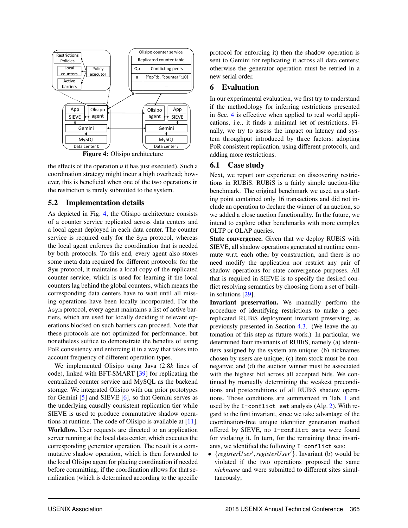

the effects of the operation *u* it has just executed). Such a coordination strategy might incur a high overhead; however, this is beneficial when one of the two operations in the restriction is rarely submitted to the system.

# 5.2 Implementation details

As depicted in Fig. 4, the Olisipo architecture consists of a counter service replicated across data centers and a local agent deployed in each data center. The counter service is required only for the Sym protocol, whereas the local agent enforces the coordination that is needed by both protocols. To this end, every agent also stores some meta data required for different protocols: for the Sym protocol, it maintains a local copy of the replicated counter service, which is used for learning if the local counters lag behind the global counters, which means the corresponding data centers have to wait until all missing operations have been locally incorporated. For the Asym protocol, every agent maintains a list of active barriers, which are used for locally deciding if relevant operations blocked on such barriers can proceed. Note that these protocols are not optimized for performance, but nonetheless suffice to demonstrate the benefits of using PoR consistency and enforcing it in a way that takes into account frequency of different operation types.

We implemented Olisipo using Java (2*.*8*k* lines of code), linked with BFT-SMART [39] for replicating the centralized counter service and MySQL as the backend storage. We integrated Olisipo with our prior prototypes for Gemini [5] and SIEVE [6], so that Gemini serves as the underlying causally consistent replication tier while SIEVE is used to produce commutative shadow operations at runtime. The code of Olisipo is available at [11]. Workflow. User requests are directed to an application server running at the local data center, which executes the corresponding generator operation. The result is a commutative shadow operation, which is then forwarded to the local Olisipo agent for placing coordination if needed before committing; if the coordination allows for that serialization (which is determined according to the specific protocol for enforcing it) then the shadow operation is sent to Gemini for replicating it across all data centers; otherwise the generator operation must be retried in a new serial order.

## 6 Evaluation

In our experimental evaluation, we first try to understand if the methodology for inferring restrictions presented in Sec. 4 is effective when applied to real world applications, i.e., it finds a minimal set of restrictions. Finally, we try to assess the impact on latency and system throughput introduced by three factors: adopting PoR consistent replication, using different protocols, and adding more restrictions.

## 6.1 Case study

Next, we report our experience on discovering restrictions in RUBiS. RUBiS is a fairly simple auction-like benchmark. The original benchmark we used as a starting point contained only 16 transactions and did not include an operation to declare the winner of an auction, so we added a close auction functionality. In the future, we intend to explore other benchmarks with more complex OLTP or OLAP queries.

State convergence. Given that we deploy RUBiS with SIEVE, all shadow operations generated at runtime commute w.r.t. each other by construction, and there is no need modify the application nor restrict any pair of shadow operations for state convergence purposes. All that is required in SIEVE is to specify the desired conflict resolving semantics by choosing from a set of builtin solutions [29].

Invariant preservation. We manually perform the procedure of identifying restrictions to make a georeplicated RUBiS deployment invariant preserving, as previously presented in Section 4.3. (We leave the automation of this step as future work.) In particular, we determined four invariants of RUBiS, namely (a) identifiers assigned by the system are unique; (b) nicknames chosen by users are unique; (c) item stock must be nonnegative; and (d) the auction winner must be associated with the highest bid across all accepted bids. We continued by manually determining the weakest preconditions and postconditions of all RUBiS shadow operations. Those conditions are summarized in Tab. 1 and used by the I-conflict set analysis (Alg. 2). With regard to the first invariant, since we take advantage of the coordination-free unique identifier generation method offered by SIEVE, no I-conflict sets were found for violating it. In turn, for the remaining three invariants, we identified the following I-conflict sets:

• {*registerUser'*,*registerUser'*}. Invariant (b) would be violated if the two operations proposed the same *nickname* and were submitted to different sites simultaneously;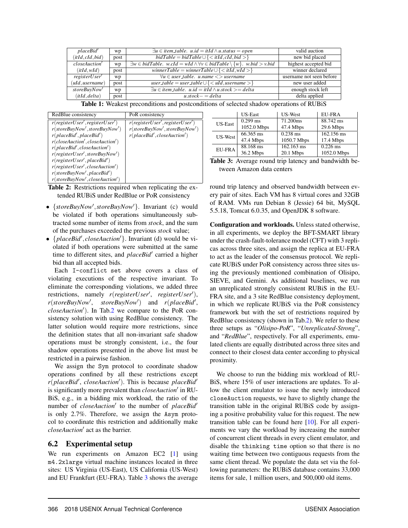| placeBid'        | wp   | $\exists u \in item \pm able.$ $u.id = itId \wedge u.startus = open$                                | valid auction            |
|------------------|------|-----------------------------------------------------------------------------------------------------|--------------------------|
| (itId, cId, bid) | post | $bidTable = bidTable \cup \{ < itId, cId, bid > \}$                                                 | new bid placed           |
| closeAuction'    | wp   | $\exists w \in bidTable.$ w.cId = wId $\land \forall v \in bidTable \setminus \{w\}.$ w.bid > v.bid | highest accepted bid     |
| $(itId$ , wId    | post | winnerTable = winnerTable $\cup$ { $\lt$ itId, wId $\gt$ }                                          | winner declared          |
| registerUser     | wp   | $\forall u \in user_table.$ u.name $\langle \rangle$ username                                       | username not seen before |
| (uld, username)  | post | $user_table = user_table \cup \{  \}$                                                               | new user added           |
| storeBuyNow'     | wp   | $\exists u \in item \pm able.$ $u.id = itId \wedge u.stock >= delta$                                | enough stock left        |
| (itId, delta)    | post | $u. stock = delta$                                                                                  | delta applied            |

Table 1: Weakest preconditions and postconditions of selected shadow operations of RUBiS

| RedBlue consistency                             | PoR consistency                                 |
|-------------------------------------------------|-------------------------------------------------|
| $r(\text{registerUser}', \text{registerUser}')$ | $r(\text{registerUser}', \text{registerUser}')$ |
| $r(\text{storeBuyNow}', \text{storeBuyNow}')$   | $r(\text{storeBuyNow}', \text{storeBuyNow}')$   |
| r(placeBid', placeBid')                         | r(placeBid', closeAuction')                     |
| r(closeduction', closeAuction')                 |                                                 |
| r(placeBid', closeAction')                      |                                                 |
| r(registerUser', storeBuyNow')                  |                                                 |
| r(registerUser', placeBid')                     |                                                 |
| $r(\text{registerUser}', \text{closeAuction}')$ |                                                 |
| r(storeBuyNow', placeBid')                      |                                                 |
| $r(\text{storeBuyNow}',\text{closeAuction}')$   |                                                 |

Table 2: Restrictions required when replicating the extended RUBiS under RedBlue or PoR consistency

- {*storeBuyNow'*, *storeBuyNow'*}. Invariant (c) would be violated if both operations simultaneously subtracted some number of items from *stock*, and the sum of the purchases exceeded the previous *stock* value;
- {*placeBid', closeAuction'*}. Invariant (d) would be violated if both operations were submitted at the same time to different sites, and *placeBid'* carried a higher bid than all accepted bids.

Each I-conflict set above covers a class of violating executions of the respective invariant. To eliminate the corresponding violations, we added three *restrictions, namely r(registerUser', registerUser'), r*(*storeBuyNow'*, *storeBuyNow'*) and *r*(*placeBid'*, *closeAuction'*). In Tab.2 we compare to the PoR consistency solution with using RedBlue consistency. The latter solution would require more restrictions, since the definition states that all non-invariant safe shadow operations must be strongly consistent, i.e., the four shadow operations presented in the above list must be restricted in a pairwise fashion.

We assign the Sym protocol to coordinate shadow operations confined by all these restrictions except  $r(placeBid', closeAuction').$  This is because *placeBid'* is significantly more prevalent than *closeAuction*' in RU-BiS, e.g., in a bidding mix workload, the ratio of the number of *closeAuction'* to the number of *placeBid'* is only 2.7%. Therefore, we assign the Asym protocol to coordinate this restriction and additionally make *closeAuction'* act as the barrier.

# 6.2 Experimental setup

We run experiments on Amazon EC2 [1] using m4.2xlarge virtual machine instances located in three sites: US Virginia (US-East), US California (US-West) and EU Frankfurt (EU-FRA). Table 3 shows the average

|                | <b>US-East</b> | US-West      | <b>EU-FRA</b> |
|----------------|----------------|--------------|---------------|
| <b>US-East</b> | $0.299$ ms     | 71.200ms     | 88.742 ms     |
|                | 1052.0 Mbps    | 47.4 Mbps    | 29.6 Mbps     |
| US-West        | 66.365 ms      | $0.238$ ms   | 162.156 ms    |
|                | 47.4 Mbps      | 1050.7 Mbps  | 17.4 Mbps     |
| <b>EU-FRA</b>  | 88.168 ms      | $162.163$ ms | $0.226$ ms    |
|                | 36.2 Mbps      | 20.1 Mbps    | 1052.0 Mbps   |

Table 3: Average round trip latency and bandwidth between Amazon data centers

round trip latency and observed bandwidth between every pair of sites. Each VM has 8 virtual cores and 32GB of RAM. VMs run Debian 8 (Jessie) 64 bit, MySQL 5.5.18, Tomcat 6.0.35, and OpenJDK 8 software.

Configuration and workloads. Unless stated otherwise, in all experiments, we deploy the BFT-SMART library under the crash-fault-tolerance model (CFT) with 3 replicas across three sites, and assign the replica at EU-FRA to act as the leader of the consensus protocol. We replicate RUBiS under PoR consistency across three sites using the previously mentioned combination of Olisipo, SIEVE, and Gemini. As additional baselines, we run an unreplicated strongly consistent RUBiS in the EU-FRA site, and a 3 site RedBlue consistency deployment, in which we replicate RUBiS via the PoR consistency framework but with the set of restrictions required by RedBlue consistency (shown in Tab.2). We refer to these three setups as "*Olisipo-PoR*", "*Unreplicated-Strong*", and "*RedBlue*", respectively. For all experiments, emulated clients are equally distributed across three sites and connect to their closest data center according to physical proximity.

We choose to run the bidding mix workload of RU-BiS, where 15% of user interactions are updates. To allow the client emulator to issue the newly introduced closeAuction requests, we have to slightly change the transition table in the original RUBiS code by assigning a positive probability value for this request. The new transition table can be found here [10]. For all experiments we vary the workload by increasing the number of concurrent client threads in every client emulator, and disable the thinking time option so that there is no waiting time between two contiguous requests from the same client thread. We populate the data set via the following parameters: the RUBiS database contains 33,000 items for sale, 1 million users, and 500,000 old items.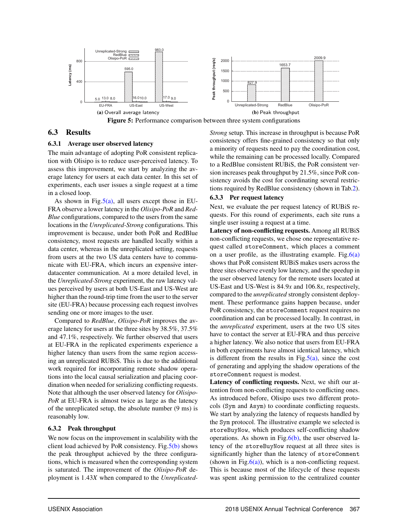

## 6.3 Results

#### 6.3.1 Average user observed latency

The main advantage of adopting PoR consistent replication with Olisipo is to reduce user-perceived latency. To assess this improvement, we start by analyzing the average latency for users at each data center. In this set of experiments, each user issues a single request at a time in a closed loop.

As shown in Fig.5(a), all users except those in EU-FRA observe a lower latency in the *Olisipo-PoR* and *Red-Blue* configurations, compared to the users from the same locations in the *Unreplicated-Strong* configurations. This improvement is because, under both PoR and RedBlue consistency, most requests are handled locally within a data center, whereas in the unreplicated setting, requests from users at the two US data centers have to communicate with EU-FRA, which incurs an expensive interdatacenter communication. At a more detailed level, in the *Unreplicated-Strong* experiment, the raw latency values perceived by users at both US-East and US-West are higher than the round-trip time from the user to the server site (EU-FRA) because processing each request involves sending one or more images to the user.

Compared to *RedBlue*, *Olisipo-PoR* improves the average latency for users at the three sites by 38.5%, 37.5% and 47.1%, respectively. We further observed that users at EU-FRA in the replicated experiments experience a higher latency than users from the same region accessing an unreplicated RUBiS. This is due to the additional work required for incorporating remote shadow operations into the local causal serialization and placing coordination when needed for serializing conflicting requests. Note that although the user observed latency for *Olisipo-PoR* at EU-FRA is almost twice as large as the latency of the unreplicated setup, the absolute number (9 ms) is reasonably low.

### 6.3.2 Peak throughput

We now focus on the improvement in scalability with the client load achieved by PoR consistency. Fig. $5(b)$  shows the peak throughput achieved by the three configurations, which is measured when the corresponding system is saturated. The improvement of the *Olisipo-PoR* deployment is 1*.*43*X* when compared to the *Unreplicated-* *Strong* setup. This increase in throughput is because PoR consistency offers fine-grained consistency so that only a minority of requests need to pay the coordination cost, while the remaining can be processed locally. Compared to a RedBlue consistent RUBiS, the PoR consistent version increases peak throughput by 21.5%, since PoR consistency avoids the cost for coordinating several restrictions required by RedBlue consistency (shown in Tab.2).

#### 6.3.3 Per request latency

Next, we evaluate the per request latency of RUBiS requests. For this round of experiments, each site runs a single user issuing a request at a time.

Latency of non-conflicting requests. Among all RUBiS non-conflicting requests, we chose one representative request called storeComment, which places a comment on a user profile, as the illustrating example. Fig.  $6(a)$ shows that PoR consistent RUBiS makes users across the three sites observe evenly low latency, and the speedup in the user observed latency for the remote users located at US-East and US-West is 84*.*9*x* and 106*.*8*x*, respectively, compared to the *unreplicated* strongly consistent deployment. These performance gains happen because, under PoR consistency, the storeComment request requires no coordination and can be processed locally. In contrast, in the *unreplicated* experiment, users at the two US sites have to contact the server at EU-FRA and thus perceive a higher latency. We also notice that users from EU-FRA in both experiments have almost identical latency, which is different from the results in Fig.  $5(a)$ , since the cost of generating and applying the shadow operations of the storeComment request is modest.

Latency of conflicting requests. Next, we shift our attention from non-conflicting requests to conflicting ones. As introduced before, Olisipo uses two different protocols (Sym and Asym) to coordinate conflicting requests. We start by analyzing the latency of requests handled by the Sym protocol. The illustrative example we selected is storeBuyNow, which produces self-conflicting shadow operations. As shown in Fig. $6(b)$ , the user observed latency of the storeBuyNow request at all three sites is significantly higher than the latency of storeComment (shown in Fig. $6(a)$ ), which is a non-conflicting request. This is because most of the lifecycle of these requests was spent asking permission to the centralized counter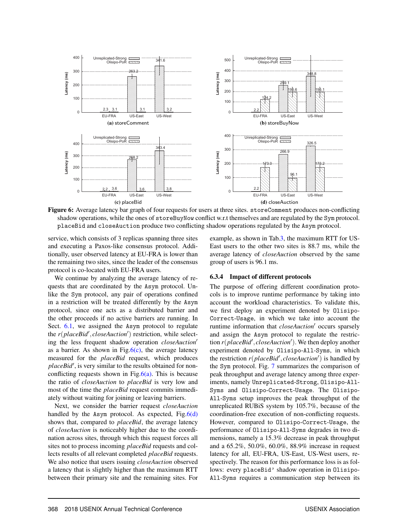

Figure 6: Average latency bar graph of four requests for users at three sites. storeComment produces non-conflicting shadow operations, while the ones of storeBuyNow conflict w.r.t themselves and are regulated by the Sym protocol. placeBid and closeAuction produce two conflicting shadow operations regulated by the Asym protocol.

service, which consists of 3 replicas spanning three sites and executing a Paxos-like consensus protocol. Additionally, user observed latency at EU-FRA is lower than the remaining two sites, since the leader of the consensus protocol is co-located with EU-FRA users.

We continue by analyzing the average latency of requests that are coordinated by the Asym protocol. Unlike the Sym protocol, any pair of operations confined in a restriction will be treated differently by the Asym protocol, since one acts as a distributed barrier and the other proceeds if no active barriers are running. In Sect. 6.1, we assigned the Asym protocol to regulate the  $r(placeBid', closeAction')$  restriction, while selecting the less frequent shadow operation *closeAuction'* as a barrier. As shown in Fig. $6(c)$ , the average latency measured for the *placeBid* request, which produces placeBid', is very similar to the results obtained for nonconflicting requests shown in Fig. $6(a)$ . This is because the ratio of *closeAuction* to *placeBid* is very low and most of the time the *placeBid* request commits immediately without waiting for joining or leaving barriers.

Next, we consider the barrier request *closeAuction* handled by the Asym protocol. As expected,  $Fig.6(d)$ shows that, compared to *placeBid*, the average latency of *closeAuction* is noticeably higher due to the coordination across sites, through which this request forces all sites not to process incoming *placeBid* requests and collects results of all relevant completed *placeBid* requests. We also notice that users issuing *closeAuction* observed a latency that is slightly higher than the maximum RTT between their primary site and the remaining sites. For example, as shown in Tab.3, the maximum RTT for US-East users to the other two sites is 88.7 ms, while the average latency of *closeAuction* observed by the same group of users is 96.1 ms.

#### 6.3.4 Impact of different protocols

The purpose of offering different coordination protocols is to improve runtime performance by taking into account the workload characteristics. To validate this, we first deploy an experiment denoted by Olisipo-Correct-Usage, in which we take into account the runtime information that *closeAuction'* occurs sparsely and assign the Asym protocol to regulate the restriction *r*(*placeBid', closeAuction'*). We then deploy another experiment denoted by Olisipo-All-Syms, in which the restriction  $r(placeBid', closeAction')$  is handled by the Sym protocol. Fig. 7 summarizes the comparison of peak throughput and average latency among three experiments, namely Unreplicated-Strong, Olisipo-All-Syms and Olisipo-Correct-Usage. The Olisipo-All-Syms setup improves the peak throughput of the unreplicated RUBiS system by 105.7%, because of the coordination-free execution of non-conflicting requests. However, compared to Olisipo-Correct-Usage, the performance of Olisipo-All-Syms degrades in two dimensions, namely a 15.3% decrease in peak throughput and a 65.2%, 50.0%, 60.0%, 88.9% increase in request latency for all, EU-FRA, US-East, US-West users, respectively. The reason for this performance loss is as follows: every placeBid' shadow operation in Olisipo-All-Syms requires a communication step between its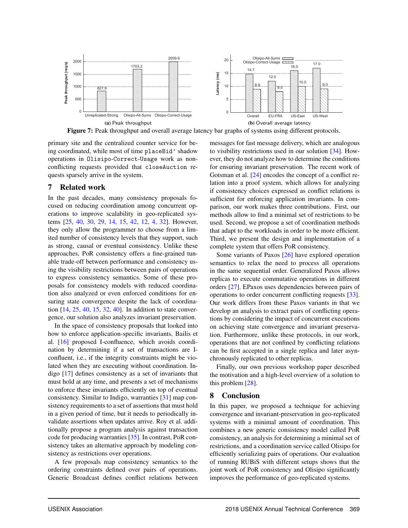

Figure 7: Peak throughput and overall average latency bar graphs of systems using different protocols.

primary site and the centralized counter service for being coordinated, while most of time placeBid' shadow operations in Olisipo-Correct-Usage work as nonconflicting requests provided that closeAuction requests sparsely arrive in the system.

# 7 Related work

In the past decades, many consistency proposals focused on reducing coordination among concurrent operations to improve scalability in geo-replicated systems [25, 40, 30, 29, 14, 15, 42, 12, 4, 32]. However, they only allow the programmer to choose from a limited number of consistency levels that they support, such as strong, causal or eventual consistency. Unlike these approaches, PoR consistency offers a fine-grained tunable trade-off between performance and consistency using the visibility restrictions between pairs of operations to express consistency semantics. Some of these proposals for consistency models with reduced coordination also analyzed or even enforced conditions for ensuring state convergence despite the lack of coordination [14, 25, 40, 15, 32, 40]. In addition to state convergence, our solution also analyzes invariant preservation.

In the space of consistency proposals that looked into how to enforce application-specific invariants, Bailis et al. [16] proposed I-confluence, which avoids coordination by determining if a set of transactions are Iconfluent, i.e., if the integrity constraints might be violated when they are executing without coordination. Indigo [17] defines consistency as a set of invariants that must hold at any time, and presents a set of mechanisms to enforce these invariants efficiently on top of eventual consistency. Similar to Indigo, warranties [31] map consistency requirements to a set of assertions that must hold in a given period of time, but it needs to periodically invalidate assertions when updates arrive. Roy et al. additionally propose a program analysis against transaction code for producing warranties [35]. In contrast, PoR consistency takes an alternative approach by modeling consistency as restrictions over operations.

A few proposals map consistency semantics to the ordering constraints defined over pairs of operations. Generic Broadcast defines conflict relations between messages for fast message delivery, which are analogous to visibility restrictions used in our solution [34]. However, they do not analyze how to determine the conditions for ensuring invariant preservation. The recent work of Gotsman et al. [24] encodes the concept of a conflict relation into a proof system, which allows for analyzing if consistency choices expressed as conflict relations is sufficient for enforcing application invariants. In comparison, our work makes three contributions. First, our methods allow to find a minimal set of restrictions to be used. Second, we propose a set of coordination methods that adapt to the workloads in order to be more efficient. Third, we present the design and implementation of a complete system that offers PoR consistency.

Some variants of Paxos [26] have explored operation semantics to relax the need to process all operations in the same sequential order. Generalized Paxos allows replicas to execute commutative operations in different orders [27]. EPaxos uses dependencies between pairs of operations to order concurrent conflicting requests [33]. Our work differs from these Paxos variants in that we develop an analysis to extract pairs of conflicting operations by considering the impact of concurrent executions on achieving state convergence and invariant preservation. Furthermore, unlike these protocols, in our work, operations that are not confined by conflicting relations can be first accepted in a single replica and later asynchronously replicated to other replicas.

Finally, our own previous workshop paper described the motivation and a high-level overview of a solution to this problem [28].

### 8 Conclusion

In this paper, we proposed a technique for achieving convergence and invariant-preservation in geo-replicated systems with a minimal amount of coordination. This combines a new generic consistency model called PoR consistency, an analysis for determining a minimal set of restrictions, and a coordination service called Olisipo for efficiently serializing pairs of operations. Our evaluation of running RUBiS with different setups shows that the joint work of PoR consistency and Olisipo significantly improves the performance of geo-replicated systems.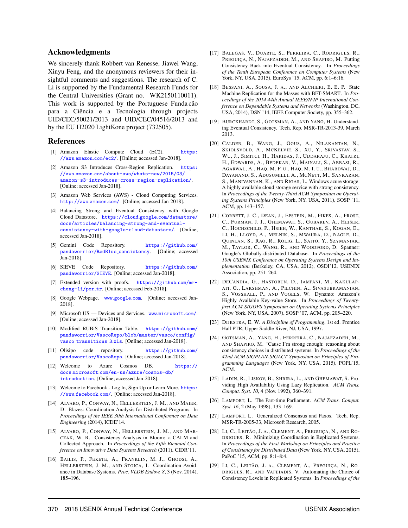### Acknowledgments

We sincerely thank Robbert van Renesse, Jiawei Wang, Xinyu Feng, and the anonymous reviewers for their insightful comments and suggestions. The research of C. Li is supported by the Fundamental Research Funds for the Central Universities (Grant no. WK2150110011). This work is supported by the Portuguese Funda cão para a Ciência e a Tecnologia through projects UID/CEC/50021/2013 and UID/CEC/04516/2013 and by the EU H2020 LightKone project (732505).

#### References

- [1] Amazon Elastic Compute Cloud (EC2). [https:](https://aws.amazon.com/ec2/) //aws*.*amazon*.*[com/ec2/](https://aws.amazon.com/ec2/). [Online; accessed Jan-2018].
- [2] Amazon S3 Introduces Cross-Region Replication. [https:](https://aws.amazon.com/about-aws/whats-new/2015/03/amazon-s3-introduces-cross-region-replication/) //aws*.*amazon*.*[com/about-aws/whats-new/2015/03/](https://aws.amazon.com/about-aws/whats-new/2015/03/amazon-s3-introduces-cross-region-replication/) [amazon-s3-introduces-cross-region-replication/](https://aws.amazon.com/about-aws/whats-new/2015/03/amazon-s3-introduces-cross-region-replication/). [Online; accessed Jan-2018].
- [3] Amazon Web Services (AWS) Cloud Computing Services. [http://aws](http://aws.amazon.com/)*.*amazon*.*com/. [Online; accessed Jan-2018].
- [4] Balancing Strong and Eventual Consistency with Google Cloud Datastore. https://cloud*.*google*.*[com/datastore/](https://cloud.google.com/datastore/docs/articles/balancing-strong-and-eventual-consistency-with-google-cloud-datastore/) [docs/articles/balancing-strong-and-eventual](https://cloud.google.com/datastore/docs/articles/balancing-strong-and-eventual-consistency-with-google-cloud-datastore/)[consistency-with-google-cloud-datastore/](https://cloud.google.com/datastore/docs/articles/balancing-strong-and-eventual-consistency-with-google-cloud-datastore/). [Online; accessed Jan-2018].
- [5] Gemini Code Repository. [https://github](https://github.com/pandaworrior/RedBlue_consistency)*.*com/ [pandaworrior/RedBlue](https://github.com/pandaworrior/RedBlue_consistency) consistency. [Online; accessed Jan-2018].
- [6] SIEVE Code Repository. [https://github](https://github.com/pandaworrior/SIEVE)*.*com/ [pandaworrior/SIEVE](https://github.com/pandaworrior/SIEVE). [Online; accessed Jan-2018].
- [7] Extended version with proofs. [https://github](https://github.com/mr-cheng-li/por_tr)*.*com/mr[cheng-li/por](https://github.com/mr-cheng-li/por_tr)\_tr. [Online; accessed Feb-2018].
- [8] Google Webpage. www*.*[google](www.google.com)*.*com. [Online; accessed Jan-2018].
- [9] Microsoft US Devices and Services. www*.*[microsoft](www.microsoft.com/)*.*com/. [Online; accessed Jan-2018].
- [10] Modified RUBiS Transition Table. [https://github](https://github.com/pandaworrior/VascoRepo/blob/master/vasco/config/vasco_transitions_3.xls)*.*com/ [pandaworrior/VascoRepo/blob/master/vasco/config/](https://github.com/pandaworrior/VascoRepo/blob/master/vasco/config/vasco_transitions_3.xls) vasco [transitions](https://github.com/pandaworrior/VascoRepo/blob/master/vasco/config/vasco_transitions_3.xls) 3*.*xls. [Online; accessed Jan-2018].
- [11] Olisipo code repository. [https://github](https://github.com/pandaworrior/VascoRepo)*.*com/ [pandaworrior/VascoRepo](https://github.com/pandaworrior/VascoRepo). [Online; accessed Jan-2018].
- [12] Welcome to Azure Cosmos DB. [https://](https://docs.microsoft.com/en-us/azure/cosmos-db/introduction) docs*.*microsoft*.*[com/en-us/azure/cosmos-db/](https://docs.microsoft.com/en-us/azure/cosmos-db/introduction) [introduction](https://docs.microsoft.com/en-us/azure/cosmos-db/introduction). [Online; accessed Jan-2018].
- [13] Welcome to Facebook Log In, Sign Up or Learn More. [https:](https://www.facebook.com/) //www*.*[facebook](https://www.facebook.com/)*.*com/. [Online; accessed Jan-2018].
- [14] ALVARO, P., CONWAY, N., HELLERSTEIN, J. M., AND MAIER, D. Blazes: Coordination Analysis for Distributed Programs. In *Proceedings of the IEEE 30th International Conference on Data Engineering* (2014), ICDE'14.
- [15] ALVARO, P., CONWAY, N., HELLERSTEIN, J. M., AND MAR-CZAK, W. R. Consistency Analysis in Bloom: a CALM and Collected Approach. In *Proceedings of the Fifth Biennial Conference on Innovative Data Systems Research* (2011), CIDR'11.
- [16] BAILIS, P., FEKETE, A., FRANKLIN, M. J., GHODSI, A., HELLERSTEIN, J. M., AND STOICA, I. Coordination Avoidance in Database Systems. *Proc. VLDB Endow. 8*, 3 (Nov. 2014), 185–196.
- [17] BALEGAS, V., DUARTE, S., FERREIRA, C., RODRIGUES, R., PREGUIÇA, N., NAJAFZADEH, M., AND SHAPIRO, M. Putting Consistency Back into Eventual Consistency. In *Proceedings of the Tenth European Conference on Computer Systems* (New York, NY, USA, 2015), EuroSys '15, ACM, pp. 6:1–6:16.
- [18] BESSANI, A., SOUSA, J. A., AND ALCHIERI, E. E. P. State Machine Replication for the Masses with BFT-SMART. In *Proceedings of the 2014 44th Annual IEEE/IFIP International Conference on Dependable Systems and Networks* (Washington, DC, USA, 2014), DSN '14, IEEE Computer Society, pp. 355–362.
- [19] BURCKHARDT, S., GOTSMAN, A., AND YANG, H. Understanding Eventual Consistency. Tech. Rep. MSR-TR-2013-39, March 2013.
- [20] CALDER, B., WANG, J., OGUS, A., NILAKANTAN, N., SKJOLSVOLD, A., MCKELVIE, S., XU, Y., SRIVASTAV, S., WU, J., SIMITCI, H., HARIDAS, J., UDDARAJU, C., KHATRI, H., EDWARDS, A., BEDEKAR, V., MAINALI, S., ABBASI, R., AGARWAL, A., HAQ, M. F. U., HAQ, M. I. U., BHARDWAJ, D., DAYANAND, S., ADUSUMILLI, A., MCNETT, M., SANKARAN, S., MANIVANNAN, K., AND RIGAS, L. Windows azure storage: A highly available cloud storage service with strong consistency. In *Proceedings of the Twenty-Third ACM Symposium on Operating Systems Principles* (New York, NY, USA, 2011), SOSP '11, ACM, pp. 143–157.
- [21] CORBETT, J. C., DEAN, J., EPSTEIN, M., FIKES, A., FROST, C., FURMAN, J. J., GHEMAWAT, S., GUBAREV, A., HEISER, C., HOCHSCHILD, P., HSIEH, W., KANTHAK, S., KOGAN, E., LI, H., LLOYD, A., MELNIK, S., MWAURA, D., NAGLE, D., QUINLAN, S., RAO, R., ROLIG, L., SAITO, Y., SZYMANIAK, M., TAYLOR, C., WANG, R., AND WOODFORD, D. Spanner: Google's Globally-distributed Database. In *Proceedings of the 10th USENIX Conference on Operating Systems Design and Implementation* (Berkeley, CA, USA, 2012), OSDI'12, USENIX Association, pp. 251–264.
- [22] DECANDIA, G., HASTORUN, D., JAMPANI, M., KAKULAP-ATI, G., LAKSHMAN, A., PILCHIN, A., SIVASUBRAMANIAN, S., VOSSHALL, P., AND VOGELS, W. Dynamo: Amazon's Highly Available Key-value Store. In *Proceedings of Twentyfirst ACM SIGOPS Symposium on Operating Systems Principles* (New York, NY, USA, 2007), SOSP '07, ACM, pp. 205–220.
- [23] DIJKSTRA, E. W. *A Discipline of Programming*, 1st ed. Prentice Hall PTR, Upper Saddle River, NJ, USA, 1997.
- [24] GOTSMAN, A., YANG, H., FERREIRA, C., NAJAFZADEH, M., AND SHAPIRO, M. 'Cause I'm strong enough: reasoning about consistency choices in distributed systems. In *Proceedings of the 42nd ACM SIGPLAN-SIGACT Symposium on Principles of Programming Languages* (New York, NY, USA, 2015), POPL'15, ACM.
- [25] LADIN, R., LISKOV, B., SHRIRA, L., AND GHEMAWAT, S. Providing High Availability Using Lazy Replication. *ACM Trans. Comput. Syst. 10*, 4 (Nov. 1992), 360–391.
- [26] LAMPORT, L. The Part-time Parliament. *ACM Trans. Comput. Syst. 16*, 2 (May 1998), 133–169.
- [27] LAMPORT, L. Generalized Consensus and Paxos. Tech. Rep. MSR-TR-2005-33, Microsoft Research, 2005.
- [28] LI, C., LEITÃO, J. A., CLEMENT, A., PREGUIÇA, N., AND RO-DRIGUES, R. Minimizing Coordination in Replicated Systems. In *Proceedings of the First Workshop on Principles and Practice of Consistency for Distributed Data* (New York, NY, USA, 2015), PaPoC '15, ACM, pp. 8:1–8:4.
- [29] LI, C., LEITÃO, J. A., CLEMENT, A., PREGUIÇA, N., RO-DRIGUES, R., AND VAFEIADIS, V. Automating the Choice of Consistency Levels in Replicated Systems. In *Proceedings of the*